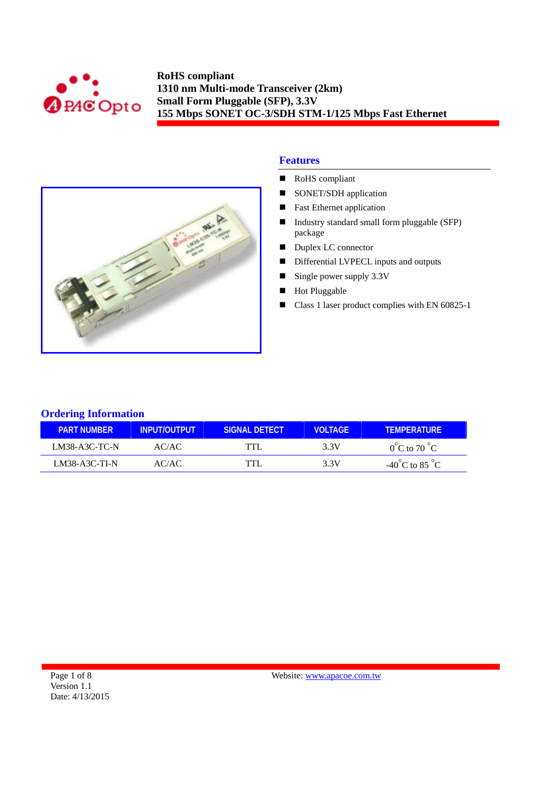



# **Features**

- RoHS compliant
- SONET/SDH application
- **Fast Ethernet application**
- Industry standard small form pluggable (SFP) package
- Duplex LC connector
- Differential LVPECL inputs and outputs
- Single power supply  $3.3V$
- Hot Pluggable
- Class 1 laser product complies with EN 60825-1

## **Ordering Information**

| <b>PART NUMBER</b> | <b>INPLIT/OLITPLIT</b> | SIGNAL DETECT | <b>VOLTAGE</b> | <b>TEMPERATURE</b>                 |
|--------------------|------------------------|---------------|----------------|------------------------------------|
| $LM38-A3C-TC-N$    | AC/AC                  | TTI           | 3.3V           | $0^{\circ}$ C to 70 $^{\circ}$ C   |
| $LM38-A3C-TI-N$    | AC/AC                  |               | 3.3V           | $-40^{\circ}$ C to 85 $^{\circ}$ C |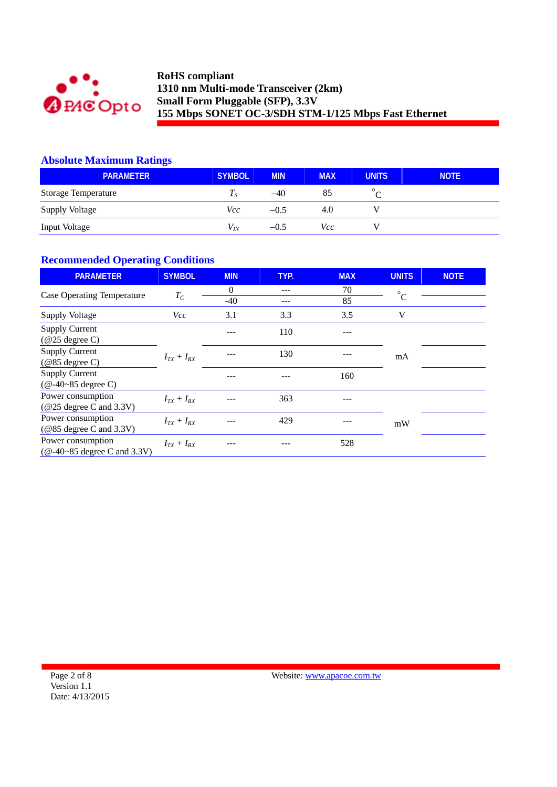

# **Absolute Maximum Ratings**

| <b>PARAMETER</b>           | <b>SYMBOL</b>  | <b>MIN</b> | <b>MAX</b> | <b>UNITS</b> | <b>NOTE</b> |
|----------------------------|----------------|------------|------------|--------------|-------------|
| <b>Storage Temperature</b> | I <sub>S</sub> | $-40$      | 85         |              |             |
| <b>Supply Voltage</b>      | Vcc            | $-0.5$     | 4.0        |              |             |
| <b>Input Voltage</b>       | $V_{I\!N}$     | $-0.5$     | Vcc        |              |             |

# **Recommended Operating Conditions**

| <b>PARAMETER</b>                                                          | <b>SYMBOL</b>     | <b>MIN</b> | TYP. | <b>MAX</b> | <b>UNITS</b> | <b>NOTE</b> |
|---------------------------------------------------------------------------|-------------------|------------|------|------------|--------------|-------------|
| Case Operating Temperature                                                | $T_C$             | $\theta$   | ---  | 70         | $^{\circ}$ C |             |
|                                                                           |                   | $-40$      |      | 85         |              |             |
| <b>Supply Voltage</b>                                                     | <i>Vcc</i>        | 3.1        | 3.3  | 3.5        | V            |             |
| <b>Supply Current</b>                                                     |                   |            | 110  |            |              |             |
| $(\text{\textcircled{a25}}$ degree C)                                     |                   |            |      |            |              |             |
| <b>Supply Current</b>                                                     |                   |            | 130  |            | mA           |             |
| $(\text{\textcircled{\textcircled{\thinspace}}}85$ degree C)              | $I_{TX} + I_{RX}$ |            |      |            |              |             |
| <b>Supply Current</b>                                                     |                   |            |      | 160        |              |             |
| $(Q - 40 - 85$ degree C)                                                  |                   |            |      |            |              |             |
| Power consumption                                                         | $I_{TX} + I_{RX}$ |            | 363  |            |              |             |
| $(Q25$ degree C and 3.3V)                                                 |                   |            |      |            |              |             |
| Power consumption                                                         | $I_{TX}+I_{RX}$   |            | 429  |            | mW           |             |
| $(@85$ degree C and 3.3V)                                                 |                   |            |      |            |              |             |
| Power consumption                                                         | $I_{TX}+I_{RX}$   |            |      | 528        |              |             |
| $(\text{\textcircled{a}}-40\text{-}85 \text{ degree C and } 3.3\text{V})$ |                   |            |      |            |              |             |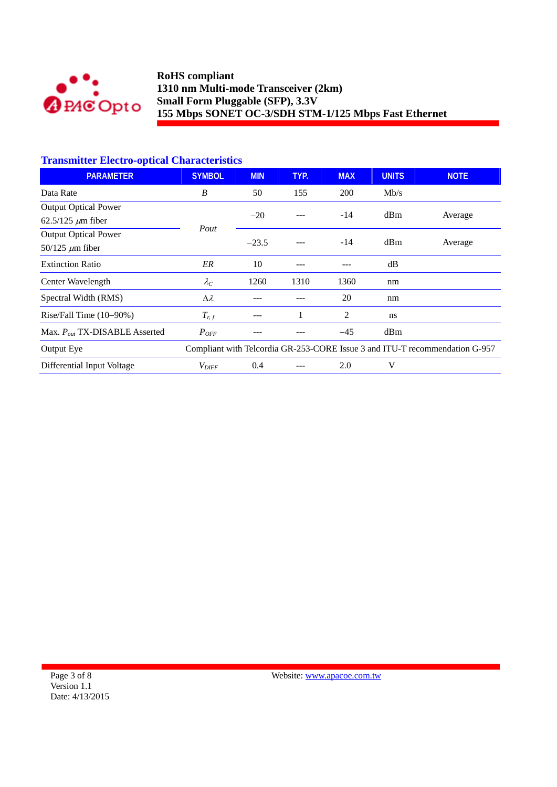

# **Transmitter Electro-optical Characteristics**

| <b>PARAMETER</b>                   | <b>SYMBOL</b>                                                               | <b>MIN</b> | TYP. | <b>MAX</b> | <b>UNITS</b> | <b>NOTE</b> |
|------------------------------------|-----------------------------------------------------------------------------|------------|------|------------|--------------|-------------|
| Data Rate                          | B                                                                           | 50         | 155  | <b>200</b> | Mb/s         |             |
| <b>Output Optical Power</b>        |                                                                             | $-20$      |      | $-14$      | dBm          |             |
| $62.5/125 \ \mu m$ fiber           | Pout                                                                        |            |      |            |              | Average     |
| <b>Output Optical Power</b>        |                                                                             | $-23.5$    |      |            | dBm          | Average     |
| 50/125 $\mu$ m fiber               |                                                                             |            |      | $-14$      |              |             |
| <b>Extinction Ratio</b>            | ER                                                                          | 10         |      |            | dB           |             |
| Center Wavelength                  | $\lambda_C$                                                                 | 1260       | 1310 | 1360       | nm           |             |
| Spectral Width (RMS)               | $\Delta \lambda$                                                            |            |      | 20         | nm           |             |
| Rise/Fall Time $(10-90%)$          | $T_{r,f}$                                                                   |            |      | 2          | ns           |             |
| Max. $P_{out}$ TX-DISABLE Asserted | $P_{OFF}$                                                                   |            |      | $-45$      | dBm          |             |
| Output Eye                         | Compliant with Telcordia GR-253-CORE Issue 3 and ITU-T recommendation G-957 |            |      |            |              |             |
| Differential Input Voltage         | $V_{\text{DIFF}}$                                                           | 0.4        |      | 2.0        | V            |             |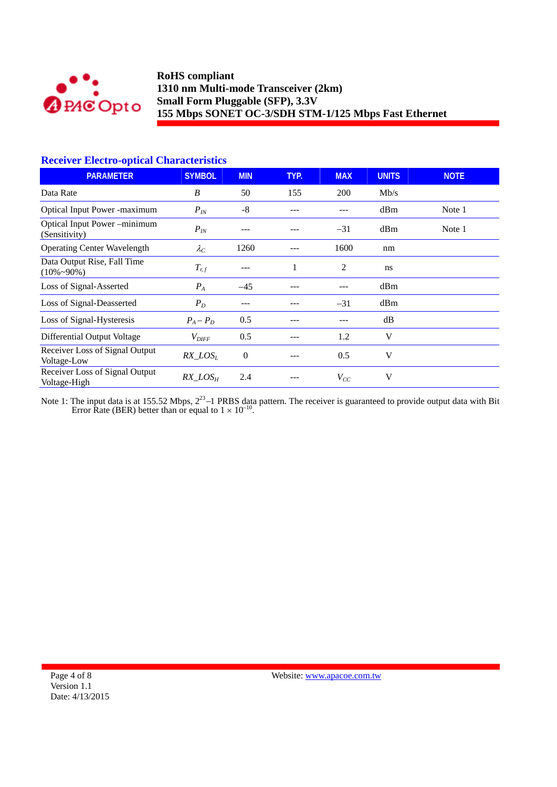

## **Receiver Electro-optical Characteristics**

| <b>PARAMETER</b>                                  | <b>SYMBOL</b>     | <b>MIN</b>     | TYP. | <b>MAX</b> | <b>UNITS</b> | <b>NOTE</b> |
|---------------------------------------------------|-------------------|----------------|------|------------|--------------|-------------|
| Data Rate                                         | B                 | 50             | 155  | 200        | Mb/s         |             |
| <b>Optical Input Power -maximum</b>               | $P_{IN}$          | -8             |      |            | dBm          | Note 1      |
| Optical Input Power-minimum<br>(Sensitivity)      | $P_{IN}$          |                |      | $-31$      | dBm          | Note 1      |
| <b>Operating Center Wavelength</b>                | $\lambda_C$       | 1260           |      | 1600       | nm           |             |
| Data Output Rise, Fall Time<br>$(10\% \sim 90\%)$ | $T_{r,f}$         | ---            | 1    | 2          | ns           |             |
| Loss of Signal-Asserted                           | $P_{A}$           | $-45$          |      |            | dBm          |             |
| Loss of Signal-Deasserted                         | $P_D$             | ---            |      | $-31$      | dBm          |             |
| Loss of Signal-Hysteresis                         | $P_A - P_D$       | 0.5            |      |            | dB           |             |
| Differential Output Voltage                       | $V_{\text{DIFF}}$ | 0.5            |      | 1.2        | V            |             |
| Receiver Loss of Signal Output<br>Voltage-Low     | $RX\_LOS_L$       | $\overline{0}$ |      | 0.5        | V            |             |
| Receiver Loss of Signal Output<br>Voltage-High    | $RX\_LOS_H$       | 2.4            |      | $V_{CC}$   | V            |             |

Note 1: The input data is at 155.52 Mbps,  $2^{23}$ –1 PRBS data pattern. The receiver is guaranteed to provide output data with Bit Error Rate (BER) better than or equal to  $1 \times 10^{-10}$ .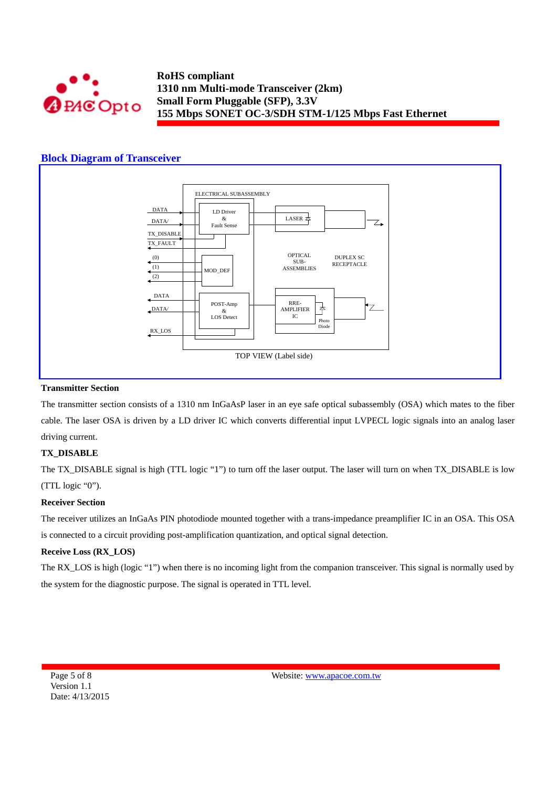

## **Block Diagram of Transceiver**



#### **Transmitter Section**

The transmitter section consists of a 1310 nm InGaAsP laser in an eye safe optical subassembly (OSA) which mates to the fiber cable. The laser OSA is driven by a LD driver IC which converts differential input LVPECL logic signals into an analog laser driving current.

#### **TX\_DISABLE**

The TX\_DISABLE signal is high (TTL logic "1") to turn off the laser output. The laser will turn on when TX\_DISABLE is low (TTL logic "0").

#### **Receiver Section**

The receiver utilizes an InGaAs PIN photodiode mounted together with a trans-impedance preamplifier IC in an OSA. This OSA is connected to a circuit providing post-amplification quantization, and optical signal detection.

#### **Receive Loss (RX\_LOS)**

The RX LOS is high (logic "1") when there is no incoming light from the companion transceiver. This signal is normally used by the system for the diagnostic purpose. The signal is operated in TTL level.

Page 5 of 8 Version 1.1 Date: 4/13/2015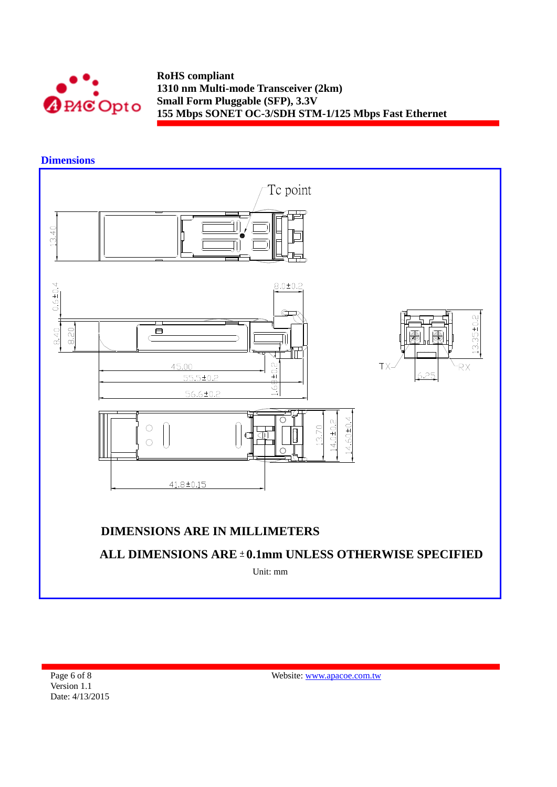

# **Dimensions**



Page 6 of 8 Version 1.1 Date: 4/13/2015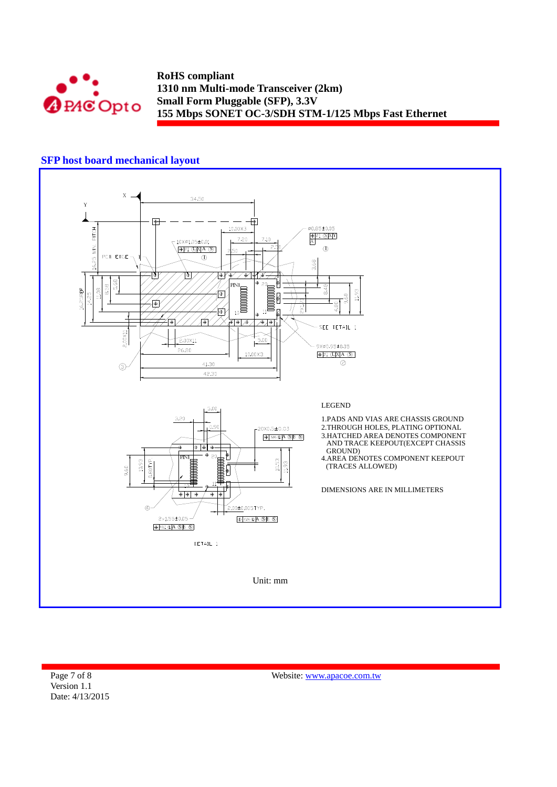

## **SFP host board mechanical layout**



Page 7 of 8 Version 1.1 Date: 4/13/2015